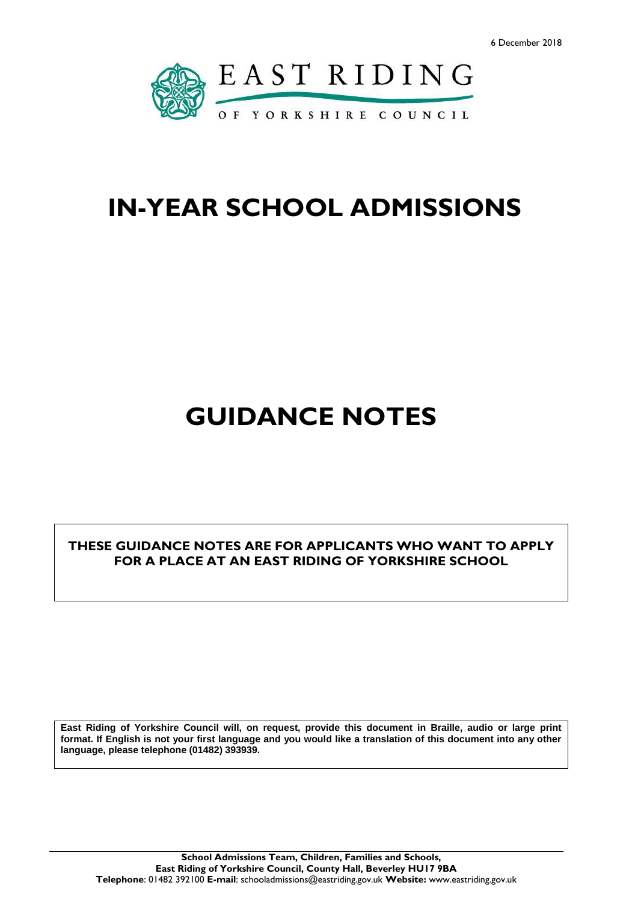

# **IN-YEAR SCHOOL ADMISSIONS**

# **GUIDANCE NOTES**

**THESE GUIDANCE NOTES ARE FOR APPLICANTS WHO WANT TO APPLY FOR A PLACE AT AN EAST RIDING OF YORKSHIRE SCHOOL** 

**East Riding of Yorkshire Council will, on request, provide this document in Braille, audio or large print format. If English is not your first language and you would like a translation of this document into any other language, please telephone (01482) 393939.**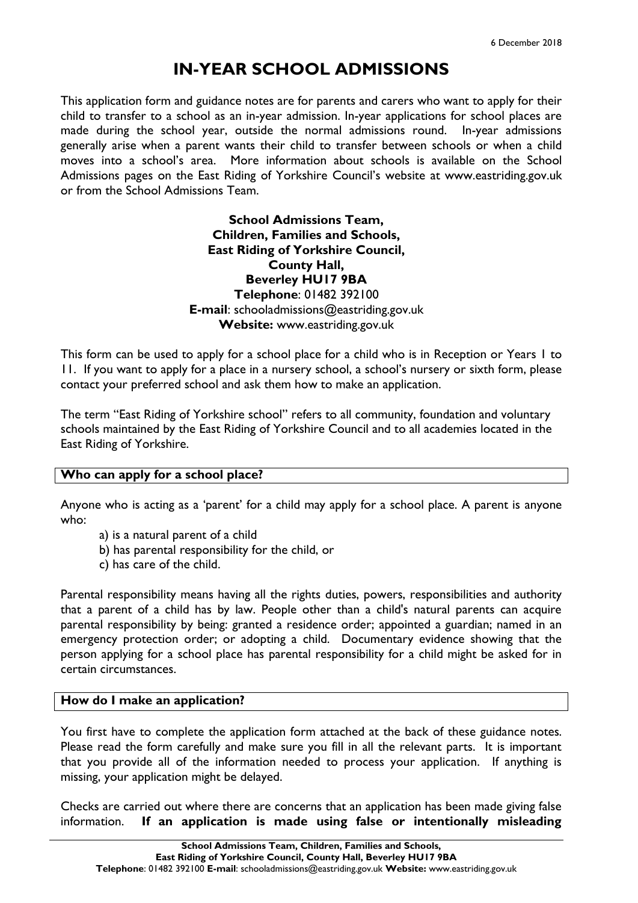## **IN-YEAR SCHOOL ADMISSIONS**

This application form and guidance notes are for parents and carers who want to apply for their child to transfer to a school as an in-year admission. In-year applications for school places are made during the school year, outside the normal admissions round. In-year admissions generally arise when a parent wants their child to transfer between schools or when a child moves into a school's area. More information about schools is available on the School Admissions pages on the East Riding of Yorkshire Council's website at www.eastriding.gov.uk or from the School Admissions Team.

> **School Admissions Team, Children, Families and Schools, East Riding of Yorkshire Council, County Hall, Beverley HU17 9BA Telephone**: 01482 392100 **E-mail**: schooladmissions@eastriding.gov.uk **Website:** www.eastriding.gov.uk

This form can be used to apply for a school place for a child who is in Reception or Years 1 to 11. If you want to apply for a place in a nursery school, a school's nursery or sixth form, please contact your preferred school and ask them how to make an application.

The term "East Riding of Yorkshire school" refers to all community, foundation and voluntary schools maintained by the East Riding of Yorkshire Council and to all academies located in the East Riding of Yorkshire.

## **Who can apply for a school place?**

Anyone who is acting as a 'parent' for a child may apply for a school place. A parent is anyone who:

- a) is a natural parent of a child
- b) has parental responsibility for the child, or
- c) has care of the child.

Parental responsibility means having all the rights duties, powers, responsibilities and authority that a parent of a child has by law. People other than a child's natural parents can acquire parental responsibility by being: granted a residence order; appointed a guardian; named in an emergency protection order; or adopting a child. Documentary evidence showing that the person applying for a school place has parental responsibility for a child might be asked for in certain circumstances.

## **How do I make an application?**

You first have to complete the application form attached at the back of these guidance notes. Please read the form carefully and make sure you fill in all the relevant parts. It is important that you provide all of the information needed to process your application. If anything is missing, your application might be delayed.

Checks are carried out where there are concerns that an application has been made giving false information. **If an application is made using false or intentionally misleading**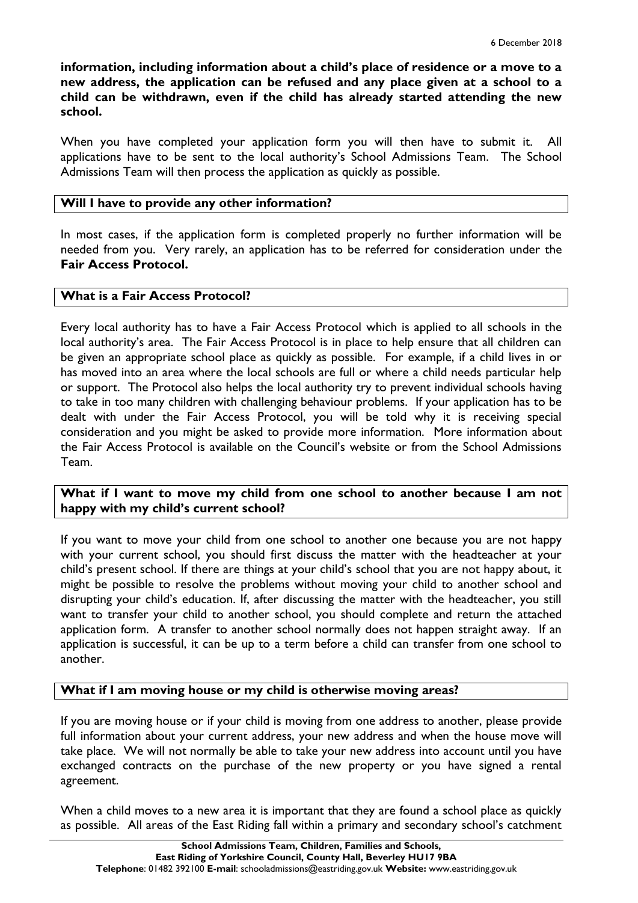**information, including information about a child's place of residence or a move to a new address, the application can be refused and any place given at a school to a child can be withdrawn, even if the child has already started attending the new school.** 

When you have completed your application form you will then have to submit it. All applications have to be sent to the local authority's School Admissions Team. The School Admissions Team will then process the application as quickly as possible.

## **Will I have to provide any other information?**

In most cases, if the application form is completed properly no further information will be needed from you. Very rarely, an application has to be referred for consideration under the **Fair Access Protocol.**

## **What is a Fair Access Protocol?**

Every local authority has to have a Fair Access Protocol which is applied to all schools in the local authority's area. The Fair Access Protocol is in place to help ensure that all children can be given an appropriate school place as quickly as possible. For example, if a child lives in or has moved into an area where the local schools are full or where a child needs particular help or support. The Protocol also helps the local authority try to prevent individual schools having to take in too many children with challenging behaviour problems. If your application has to be dealt with under the Fair Access Protocol, you will be told why it is receiving special consideration and you might be asked to provide more information. More information about the Fair Access Protocol is available on the Council's website or from the School Admissions Team.

## **What if I want to move my child from one school to another because I am not happy with my child's current school?**

If you want to move your child from one school to another one because you are not happy with your current school, you should first discuss the matter with the headteacher at your child's present school. If there are things at your child's school that you are not happy about, it might be possible to resolve the problems without moving your child to another school and disrupting your child's education. If, after discussing the matter with the headteacher, you still want to transfer your child to another school, you should complete and return the attached application form. A transfer to another school normally does not happen straight away. If an application is successful, it can be up to a term before a child can transfer from one school to another.

## **What if I am moving house or my child is otherwise moving areas?**

If you are moving house or if your child is moving from one address to another, please provide full information about your current address, your new address and when the house move will take place. We will not normally be able to take your new address into account until you have exchanged contracts on the purchase of the new property or you have signed a rental agreement.

When a child moves to a new area it is important that they are found a school place as quickly as possible. All areas of the East Riding fall within a primary and secondary school's catchment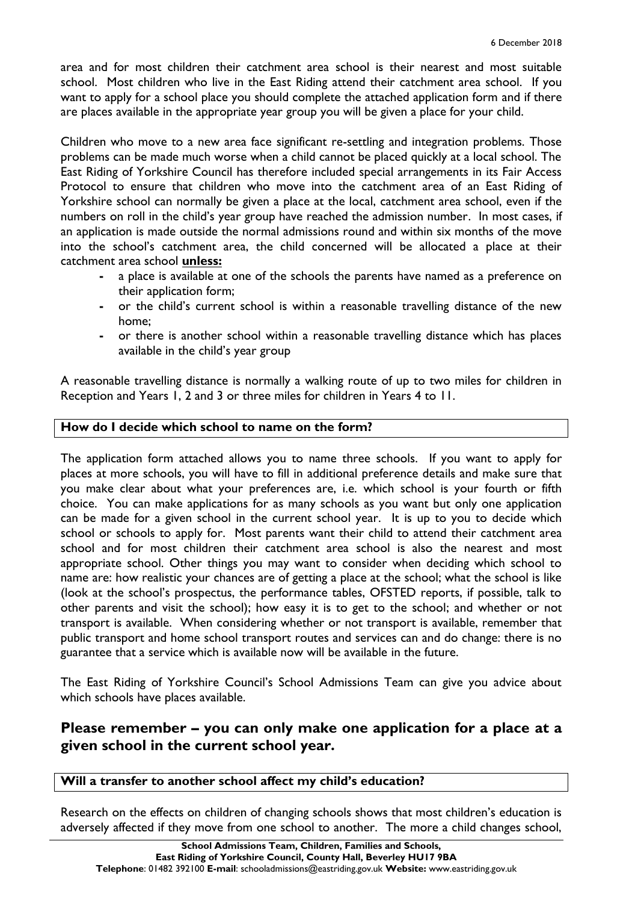area and for most children their catchment area school is their nearest and most suitable school. Most children who live in the East Riding attend their catchment area school. If you want to apply for a school place you should complete the attached application form and if there are places available in the appropriate year group you will be given a place for your child.

Children who move to a new area face significant re-settling and integration problems. Those problems can be made much worse when a child cannot be placed quickly at a local school. The East Riding of Yorkshire Council has therefore included special arrangements in its Fair Access Protocol to ensure that children who move into the catchment area of an East Riding of Yorkshire school can normally be given a place at the local, catchment area school, even if the numbers on roll in the child's year group have reached the admission number. In most cases, if an application is made outside the normal admissions round and within six months of the move into the school's catchment area, the child concerned will be allocated a place at their catchment area school **unless:**

- **-** a place is available at one of the schools the parents have named as a preference on their application form;
- **-** or the child's current school is within a reasonable travelling distance of the new home;
- **-** or there is another school within a reasonable travelling distance which has places available in the child's year group

A reasonable travelling distance is normally a walking route of up to two miles for children in Reception and Years 1, 2 and 3 or three miles for children in Years 4 to 11.

## **How do I decide which school to name on the form?**

The application form attached allows you to name three schools. If you want to apply for places at more schools, you will have to fill in additional preference details and make sure that you make clear about what your preferences are, i.e. which school is your fourth or fifth choice. You can make applications for as many schools as you want but only one application can be made for a given school in the current school year. It is up to you to decide which school or schools to apply for. Most parents want their child to attend their catchment area school and for most children their catchment area school is also the nearest and most appropriate school. Other things you may want to consider when deciding which school to name are: how realistic your chances are of getting a place at the school; what the school is like (look at the school's prospectus, the performance tables, OFSTED reports, if possible, talk to other parents and visit the school); how easy it is to get to the school; and whether or not transport is available. When considering whether or not transport is available, remember that public transport and home school transport routes and services can and do change: there is no guarantee that a service which is available now will be available in the future.

The East Riding of Yorkshire Council's School Admissions Team can give you advice about which schools have places available.

## **Please remember – you can only make one application for a place at a given school in the current school year.**

## **Will a transfer to another school affect my child's education?**

Research on the effects on children of changing schools shows that most children's education is adversely affected if they move from one school to another. The more a child changes school,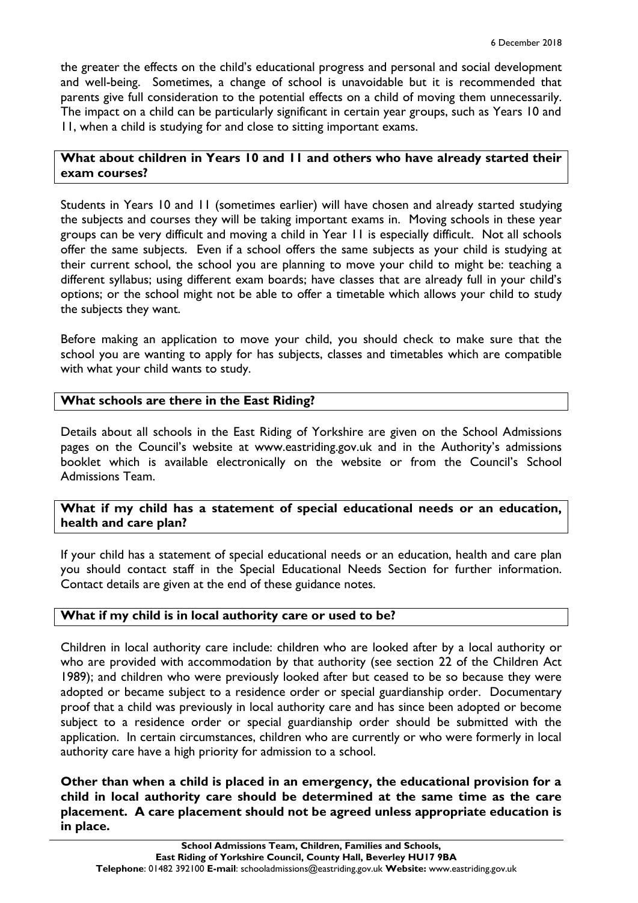the greater the effects on the child's educational progress and personal and social development and well-being. Sometimes, a change of school is unavoidable but it is recommended that parents give full consideration to the potential effects on a child of moving them unnecessarily. The impact on a child can be particularly significant in certain year groups, such as Years 10 and 11, when a child is studying for and close to sitting important exams.

## **What about children in Years 10 and 11 and others who have already started their exam courses?**

Students in Years 10 and 11 (sometimes earlier) will have chosen and already started studying the subjects and courses they will be taking important exams in. Moving schools in these year groups can be very difficult and moving a child in Year 11 is especially difficult. Not all schools offer the same subjects. Even if a school offers the same subjects as your child is studying at their current school, the school you are planning to move your child to might be: teaching a different syllabus; using different exam boards; have classes that are already full in your child's options; or the school might not be able to offer a timetable which allows your child to study the subjects they want.

Before making an application to move your child, you should check to make sure that the school you are wanting to apply for has subjects, classes and timetables which are compatible with what your child wants to study.

## **What schools are there in the East Riding?**

Details about all schools in the East Riding of Yorkshire are given on the School Admissions pages on the Council's website at www.eastriding.gov.uk and in the Authority's admissions booklet which is available electronically on the website or from the Council's School Admissions Team.

**What if my child has a statement of special educational needs or an education, health and care plan?**

If your child has a statement of special educational needs or an education, health and care plan you should contact staff in the Special Educational Needs Section for further information. Contact details are given at the end of these guidance notes.

## **What if my child is in local authority care or used to be?**

Children in local authority care include: children who are looked after by a local authority or who are provided with accommodation by that authority (see section 22 of the Children Act 1989); and children who were previously looked after but ceased to be so because they were adopted or became subject to a residence order or special guardianship order. Documentary proof that a child was previously in local authority care and has since been adopted or become subject to a residence order or special guardianship order should be submitted with the application. In certain circumstances, children who are currently or who were formerly in local authority care have a high priority for admission to a school.

**Other than when a child is placed in an emergency, the educational provision for a child in local authority care should be determined at the same time as the care placement. A care placement should not be agreed unless appropriate education is in place.**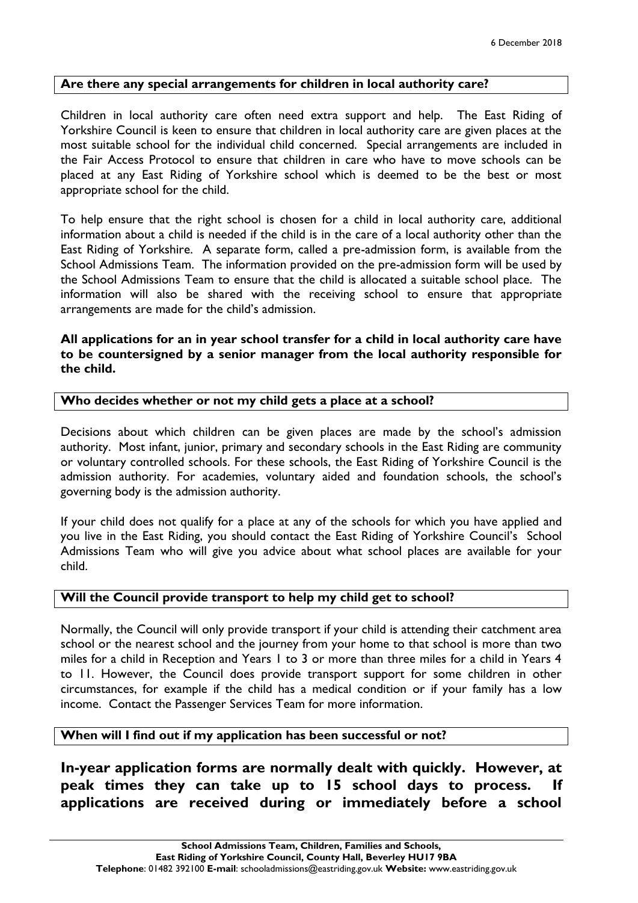## **Are there any special arrangements for children in local authority care?**

Children in local authority care often need extra support and help. The East Riding of Yorkshire Council is keen to ensure that children in local authority care are given places at the most suitable school for the individual child concerned. Special arrangements are included in the Fair Access Protocol to ensure that children in care who have to move schools can be placed at any East Riding of Yorkshire school which is deemed to be the best or most appropriate school for the child.

To help ensure that the right school is chosen for a child in local authority care, additional information about a child is needed if the child is in the care of a local authority other than the East Riding of Yorkshire. A separate form, called a pre-admission form, is available from the School Admissions Team. The information provided on the pre-admission form will be used by the School Admissions Team to ensure that the child is allocated a suitable school place. The information will also be shared with the receiving school to ensure that appropriate arrangements are made for the child's admission.

## **All applications for an in year school transfer for a child in local authority care have to be countersigned by a senior manager from the local authority responsible for the child.**

## **Who decides whether or not my child gets a place at a school?**

Decisions about which children can be given places are made by the school's admission authority. Most infant, junior, primary and secondary schools in the East Riding are community or voluntary controlled schools. For these schools, the East Riding of Yorkshire Council is the admission authority. For academies, voluntary aided and foundation schools, the school's governing body is the admission authority.

If your child does not qualify for a place at any of the schools for which you have applied and you live in the East Riding, you should contact the East Riding of Yorkshire Council's School Admissions Team who will give you advice about what school places are available for your child.

## **Will the Council provide transport to help my child get to school?**

Normally, the Council will only provide transport if your child is attending their catchment area school or the nearest school and the journey from your home to that school is more than two miles for a child in Reception and Years 1 to 3 or more than three miles for a child in Years 4 to 11. However, the Council does provide transport support for some children in other circumstances, for example if the child has a medical condition or if your family has a low income. Contact the Passenger Services Team for more information.

## **When will I find out if my application has been successful or not?**

**In-year application forms are normally dealt with quickly. However, at peak times they can take up to 15 school days to process. applications are received during or immediately before a school**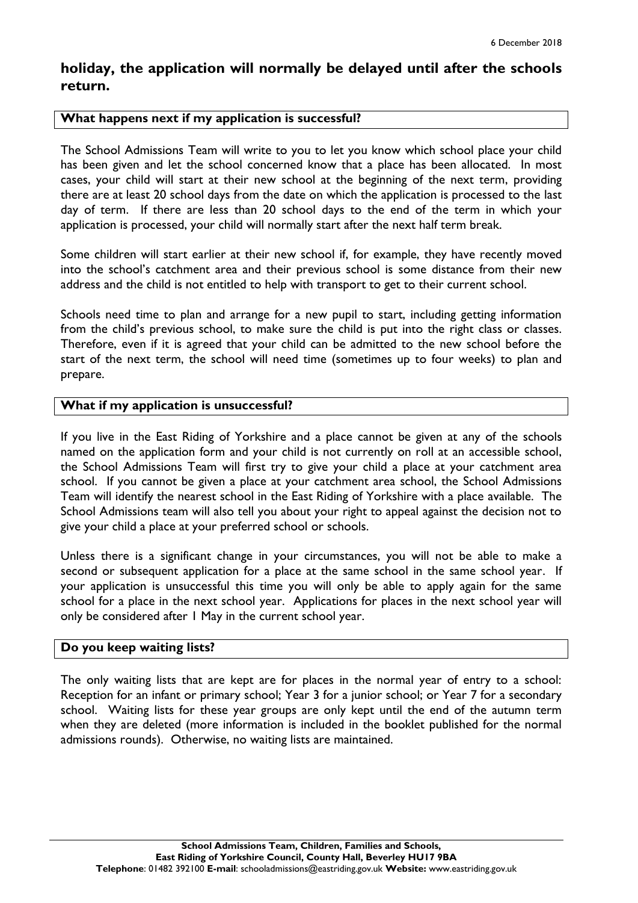## **holiday, the application will normally be delayed until after the schools return.**

## **What happens next if my application is successful?**

The School Admissions Team will write to you to let you know which school place your child has been given and let the school concerned know that a place has been allocated. In most cases, your child will start at their new school at the beginning of the next term, providing there are at least 20 school days from the date on which the application is processed to the last day of term. If there are less than 20 school days to the end of the term in which your application is processed, your child will normally start after the next half term break.

Some children will start earlier at their new school if, for example, they have recently moved into the school's catchment area and their previous school is some distance from their new address and the child is not entitled to help with transport to get to their current school.

Schools need time to plan and arrange for a new pupil to start, including getting information from the child's previous school, to make sure the child is put into the right class or classes. Therefore, even if it is agreed that your child can be admitted to the new school before the start of the next term, the school will need time (sometimes up to four weeks) to plan and prepare.

## **What if my application is unsuccessful?**

If you live in the East Riding of Yorkshire and a place cannot be given at any of the schools named on the application form and your child is not currently on roll at an accessible school, the School Admissions Team will first try to give your child a place at your catchment area school. If you cannot be given a place at your catchment area school, the School Admissions Team will identify the nearest school in the East Riding of Yorkshire with a place available. The School Admissions team will also tell you about your right to appeal against the decision not to give your child a place at your preferred school or schools.

Unless there is a significant change in your circumstances, you will not be able to make a second or subsequent application for a place at the same school in the same school year. If your application is unsuccessful this time you will only be able to apply again for the same school for a place in the next school year. Applications for places in the next school year will only be considered after 1 May in the current school year.

## **Do you keep waiting lists?**

The only waiting lists that are kept are for places in the normal year of entry to a school: Reception for an infant or primary school; Year 3 for a junior school; or Year 7 for a secondary school. Waiting lists for these year groups are only kept until the end of the autumn term when they are deleted (more information is included in the booklet published for the normal admissions rounds). Otherwise, no waiting lists are maintained.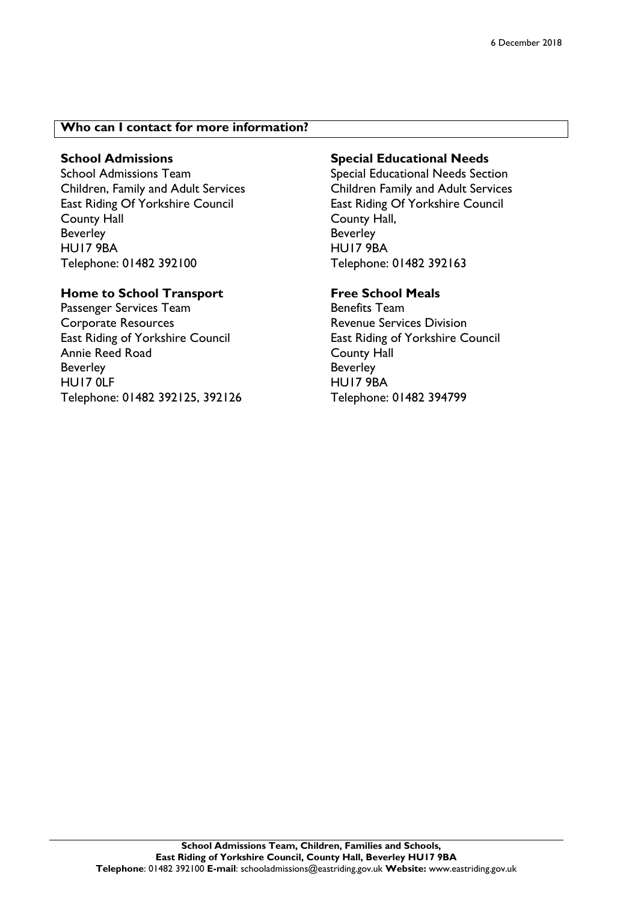## **Who can I contact for more information?**

## **School Admissions**

School Admissions Team Children, Family and Adult Services East Riding Of Yorkshire Council County Hall Beverley HU17 9BA Telephone: 01482 392100

## **Home to School Transport**

Passenger Services Team Corporate Resources East Riding of Yorkshire Council Annie Reed Road Beverley HU17 0LF Telephone: 01482 392125, 392126

## **Special Educational Needs**

Special Educational Needs Section Children Family and Adult Services East Riding Of Yorkshire Council County Hall, Beverley HU17 9BA Telephone: 01482 392163

## **Free School Meals**

Benefits Team Revenue Services Division East Riding of Yorkshire Council County Hall Beverley HU17 9BA Telephone: 01482 394799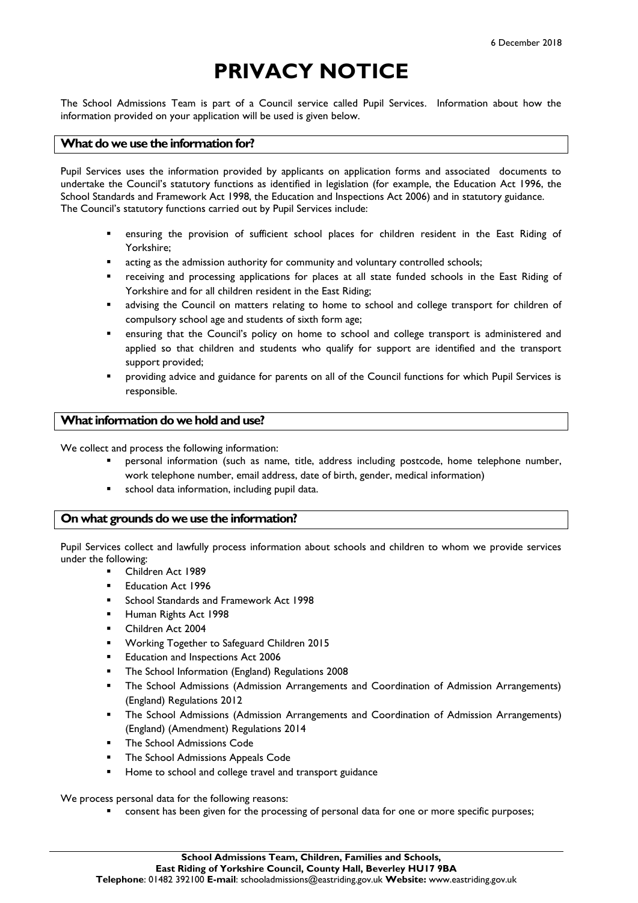## **PRIVACY NOTICE**

The School Admissions Team is part of a Council service called Pupil Services. Information about how the information provided on your application will be used is given below.

## **What do we use the information for?**

Pupil Services uses the information provided by applicants on application forms and associated documents to undertake the Council's statutory functions as identified in legislation (for example, the Education Act 1996, the School Standards and Framework Act 1998, the Education and Inspections Act 2006) and in statutory guidance. The Council's statutory functions carried out by Pupil Services include:

- ensuring the provision of sufficient school places for children resident in the East Riding of Yorkshire;
- acting as the admission authority for community and voluntary controlled schools;
- receiving and processing applications for places at all state funded schools in the East Riding of Yorkshire and for all children resident in the East Riding;
- advising the Council on matters relating to home to school and college transport for children of compulsory school age and students of sixth form age;
- ensuring that the Council's policy on home to school and college transport is administered and applied so that children and students who qualify for support are identified and the transport support provided;
- providing advice and guidance for parents on all of the Council functions for which Pupil Services is responsible.

## **What information do we hold and use?**

We collect and process the following information:

- personal information (such as name, title, address including postcode, home telephone number, work telephone number, email address, date of birth, gender, medical information)
- school data information, including pupil data.

#### **On what grounds do we use the information?**

Pupil Services collect and lawfully process information about schools and children to whom we provide services under the following:

- Children Act 1989
- Education Act 1996
- School Standards and Framework Act 1998
- Human Rights Act 1998
- Children Act 2004
- Working Together to Safeguard Children 2015
- Education and Inspections Act 2006
- The School Information (England) Regulations 2008
- The School Admissions (Admission Arrangements and Coordination of Admission Arrangements) (England) Regulations 2012
- The School Admissions (Admission Arrangements and Coordination of Admission Arrangements) (England) (Amendment) Regulations 2014
- The School Admissions Code
- The School Admissions Appeals Code
- Home to school and college travel and transport guidance

We process personal data for the following reasons:

consent has been given for the processing of personal data for one or more specific purposes;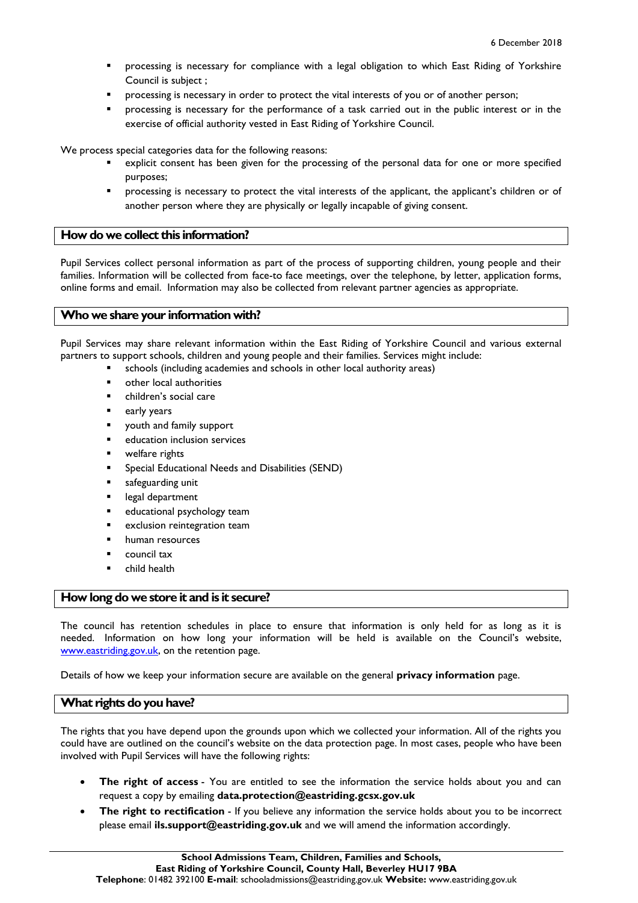- processing is necessary for compliance with a legal obligation to which East Riding of Yorkshire Council is subject ;
- processing is necessary in order to protect the vital interests of you or of another person;
- processing is necessary for the performance of a task carried out in the public interest or in the exercise of official authority vested in East Riding of Yorkshire Council.

We process special categories data for the following reasons:

- explicit consent has been given for the processing of the personal data for one or more specified purposes;
- processing is necessary to protect the vital interests of the applicant, the applicant's children or of another person where they are physically or legally incapable of giving consent.

## **How do we collect this information?**

Pupil Services collect personal information as part of the process of supporting children, young people and their families. Information will be collected from face-to face meetings, over the telephone, by letter, application forms, online forms and email. Information may also be collected from relevant partner agencies as appropriate.

## **Who we share your information with?**

Pupil Services may share relevant information within the East Riding of Yorkshire Council and various external partners to support schools, children and young people and their families. Services might include:

- schools (including academies and schools in other local authority areas)
- other local authorities
- children's social care
- early years
- youth and family support
- education inclusion services
- welfare rights
- Special Educational Needs and Disabilities (SEND)
- safeguarding unit
- legal department
- educational psychology team
- exclusion reintegration team
- human resources
- council tax
- child health

#### **How long do we store it and is it secure?**

The council has retention schedules in place to ensure that information is only held for as long as it is needed. Information on how long your information will be held is available on the Council's website, [www.eastriding.gov.uk,](http://www.eastriding.gov.uk/) on the retention page.

Details of how we keep your information secure are available on the general **[privacy information](http://www2.eastriding.gov.uk/council/governance-and-spending/how-we-use-your-information/find-privacy-information/general-privacy-information/)** page.

#### **What rights do you have?**

The rights that you have depend upon the grounds upon which we collected your information. All of the rights you could have are outlined on the council's website on the data protection page. In most cases, people who have been involved with Pupil Services will have the following rights:

- **The right of access** You are entitled to see the information the service holds about you and can request a copy by emailing **data.protection@eastriding.gcsx.gov.uk**
- **The right to rectification** If you believe any information the service holds about you to be incorrect please email **[ils.support@eastriding.gov.uk](mailto:ils.support@eastriding.gov.uk)** and we will amend the information accordingly.